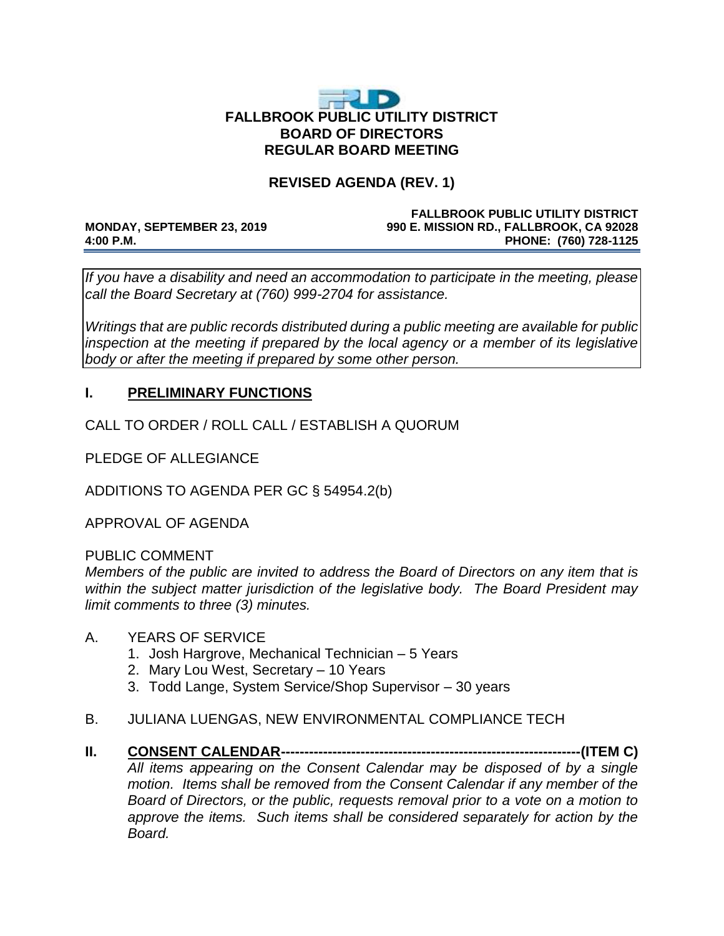# E D' **FALLBROOK PUBLIC UTILITY DISTRICT BOARD OF DIRECTORS REGULAR BOARD MEETING**

# **REVISED AGENDA (REV. 1)**

#### **FALLBROOK PUBLIC UTILITY DISTRICT MONDAY, SEPTEMBER 23, 2019 990 E. MISSION RD., FALLBROOK, CA 92028 4:00 P.M. PHONE: (760) 728-1125**

*If you have a disability and need an accommodation to participate in the meeting, please call the Board Secretary at (760) 999-2704 for assistance.* 

*Writings that are public records distributed during a public meeting are available for public*  inspection at the meeting if prepared by the local agency or a member of its legislative *body or after the meeting if prepared by some other person.* 

# **I. PRELIMINARY FUNCTIONS**

CALL TO ORDER / ROLL CALL / ESTABLISH A QUORUM

PLEDGE OF ALLEGIANCE

ADDITIONS TO AGENDA PER GC § 54954.2(b)

APPROVAL OF AGENDA

PUBLIC COMMENT

*Members of the public are invited to address the Board of Directors on any item that is within the subject matter jurisdiction of the legislative body. The Board President may limit comments to three (3) minutes.*

#### A. YEARS OF SERVICE

- 1. Josh Hargrove, Mechanical Technician 5 Years
- 2. Mary Lou West, Secretary 10 Years
- 3. Todd Lange, System Service/Shop Supervisor 30 years
- B. JULIANA LUENGAS, NEW ENVIRONMENTAL COMPLIANCE TECH
- **II. CONSENT CALENDAR----------------------------------------------------------------(ITEM C)** *All items appearing on the Consent Calendar may be disposed of by a single motion. Items shall be removed from the Consent Calendar if any member of the Board of Directors, or the public, requests removal prior to a vote on a motion to approve the items. Such items shall be considered separately for action by the Board.*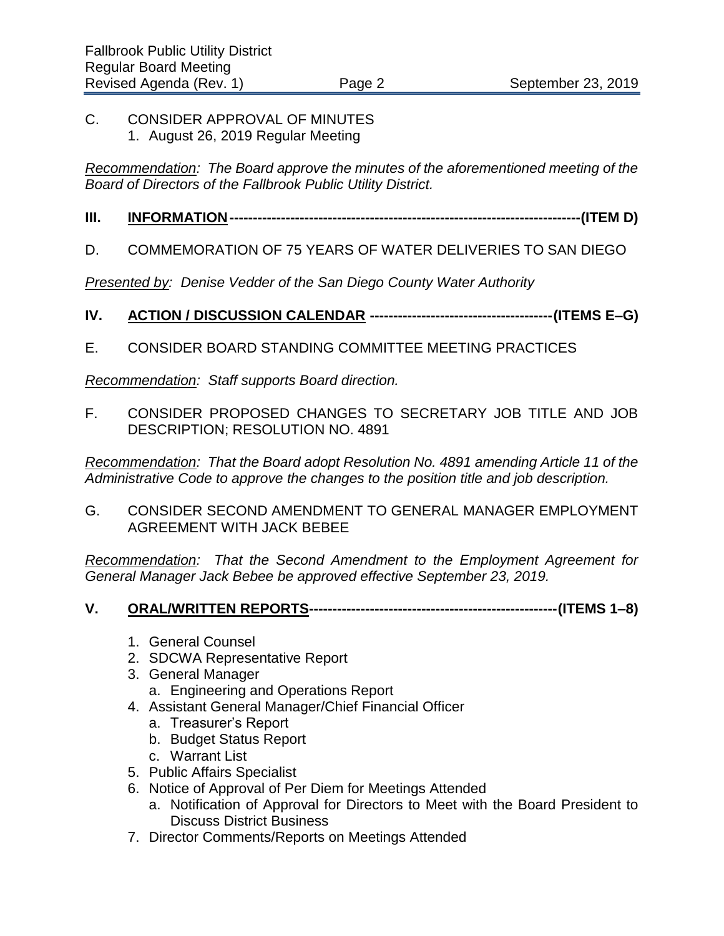### C. CONSIDER APPROVAL OF MINUTES 1. August 26, 2019 Regular Meeting

*Recommendation: The Board approve the minutes of the aforementioned meeting of the Board of Directors of the Fallbrook Public Utility District.* 

# **III. INFORMATION---------------------------------------------------------------------------(ITEM D)**

# D. COMMEMORATION OF 75 YEARS OF WATER DELIVERIES TO SAN DIEGO

*Presented by: Denise Vedder of the San Diego County Water Authority*

- **IV. ACTION / DISCUSSION CALENDAR ---------------------------------------(ITEMS E–G)**
- E. CONSIDER BOARD STANDING COMMITTEE MEETING PRACTICES

*Recommendation: Staff supports Board direction.* 

F. CONSIDER PROPOSED CHANGES TO SECRETARY JOB TITLE AND JOB DESCRIPTION; RESOLUTION NO. 4891

*Recommendation: That the Board adopt Resolution No. 4891 amending Article 11 of the Administrative Code to approve the changes to the position title and job description.* 

G. CONSIDER SECOND AMENDMENT TO GENERAL MANAGER EMPLOYMENT AGREEMENT WITH JACK BEBEE

*Recommendation: That the Second Amendment to the Employment Agreement for General Manager Jack Bebee be approved effective September 23, 2019.* 

- **V. ORAL/WRITTEN REPORTS-----------------------------------------------------(ITEMS 1–8)** 
	- 1. General Counsel
	- 2. SDCWA Representative Report
	- 3. General Manager
		- a. Engineering and Operations Report
	- 4. Assistant General Manager/Chief Financial Officer
		- a. Treasurer's Report
		- b. Budget Status Report
		- c. Warrant List
	- 5. Public Affairs Specialist
	- 6. Notice of Approval of Per Diem for Meetings Attended
		- a. Notification of Approval for Directors to Meet with the Board President to Discuss District Business
	- 7. Director Comments/Reports on Meetings Attended